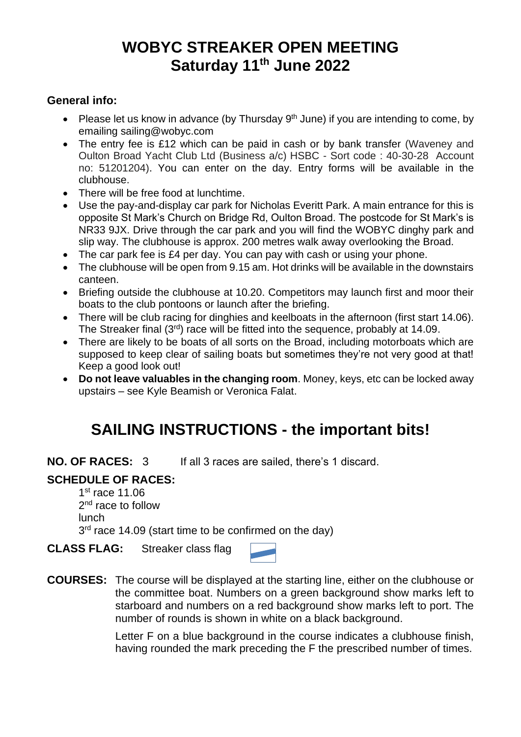## **WOBYC STREAKER OPEN MEETING Saturday 11 th June 2022**

## **General info:**

- Please let us know in advance (by Thursday  $9<sup>th</sup>$  June) if you are intending to come, by emailing sailing@wobyc.com
- The entry fee is £12 which can be paid in cash or by bank transfer (Waveney and Oulton Broad Yacht Club Ltd (Business a/c) HSBC - Sort code : 40-30-28 Account no: 51201204). You can enter on the day. Entry forms will be available in the clubhouse.
- There will be free food at lunchtime.
- Use the pay-and-display car park for Nicholas Everitt Park. A main entrance for this is opposite St Mark's Church on Bridge Rd, Oulton Broad. The postcode for St Mark's is NR33 9JX. Drive through the car park and you will find the WOBYC dinghy park and slip way. The clubhouse is approx. 200 metres walk away overlooking the Broad.
- The car park fee is £4 per day. You can pay with cash or using your phone.
- The clubhouse will be open from 9.15 am. Hot drinks will be available in the downstairs canteen.
- Briefing outside the clubhouse at 10.20. Competitors may launch first and moor their boats to the club pontoons or launch after the briefing.
- There will be club racing for dinghies and keelboats in the afternoon (first start 14.06). The Streaker final (3<sup>rd</sup>) race will be fitted into the sequence, probably at 14.09.
- There are likely to be boats of all sorts on the Broad, including motorboats which are supposed to keep clear of sailing boats but sometimes they're not very good at that! Keep a good look out!
- **Do not leave valuables in the changing room**. Money, keys, etc can be locked away upstairs – see Kyle Beamish or Veronica Falat.

## **SAILING INSTRUCTIONS - the important bits!**

**NO. OF RACES:** 3 If all 3 races are sailed, there's 1 discard.

## **SCHEDULE OF RACES:**

1st race 11.06 2<sup>nd</sup> race to follow lunch  $3<sup>rd</sup>$  race 14.09 (start time to be confirmed on the day)

**CLASS FLAG:** Streaker class flag

| ÷<br>سنسبر<br>er e<br>a shi |  |
|-----------------------------|--|

**COURSES:** The course will be displayed at the starting line, either on the clubhouse or the committee boat. Numbers on a green background show marks left to starboard and numbers on a red background show marks left to port. The number of rounds is shown in white on a black background.

> Letter F on a blue background in the course indicates a clubhouse finish, having rounded the mark preceding the F the prescribed number of times.